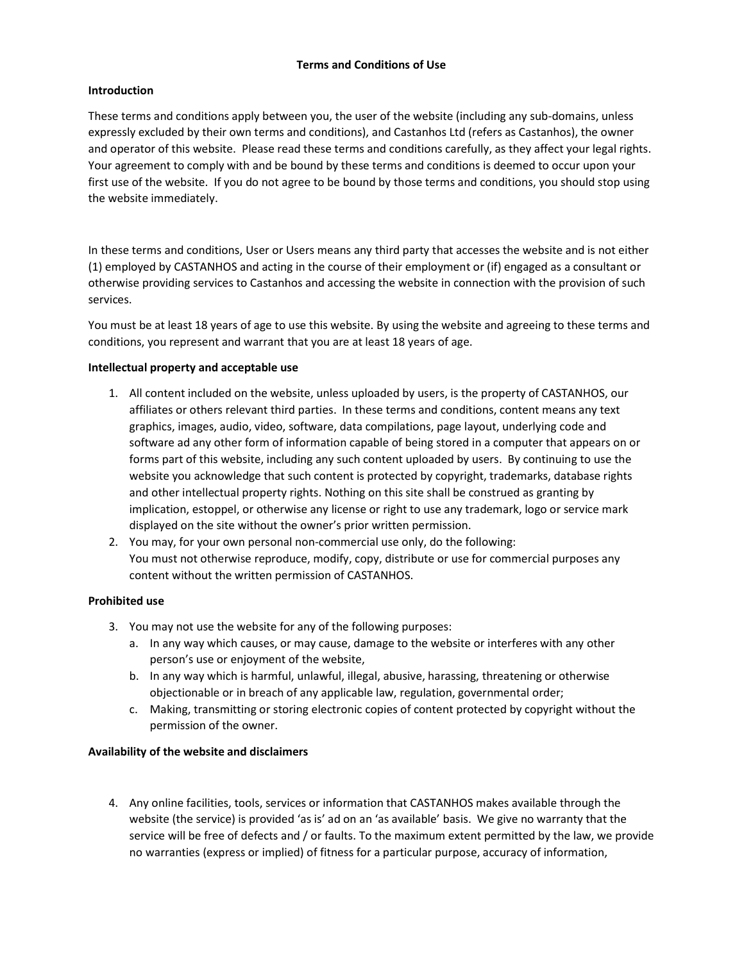### Terms and Conditions of Use

## **Introduction**

These terms and conditions apply between you, the user of the website (including any sub-domains, unless expressly excluded by their own terms and conditions), and Castanhos Ltd (refers as Castanhos), the owner and operator of this website. Please read these terms and conditions carefully, as they affect your legal rights. Your agreement to comply with and be bound by these terms and conditions is deemed to occur upon your first use of the website. If you do not agree to be bound by those terms and conditions, you should stop using the website immediately.

In these terms and conditions, User or Users means any third party that accesses the website and is not either (1) employed by CASTANHOS and acting in the course of their employment or (if) engaged as a consultant or otherwise providing services to Castanhos and accessing the website in connection with the provision of such services.

You must be at least 18 years of age to use this website. By using the website and agreeing to these terms and conditions, you represent and warrant that you are at least 18 years of age.

## Intellectual property and acceptable use

- 1. All content included on the website, unless uploaded by users, is the property of CASTANHOS, our affiliates or others relevant third parties. In these terms and conditions, content means any text graphics, images, audio, video, software, data compilations, page layout, underlying code and software ad any other form of information capable of being stored in a computer that appears on or forms part of this website, including any such content uploaded by users. By continuing to use the website you acknowledge that such content is protected by copyright, trademarks, database rights and other intellectual property rights. Nothing on this site shall be construed as granting by implication, estoppel, or otherwise any license or right to use any trademark, logo or service mark displayed on the site without the owner's prior written permission.
- 2. You may, for your own personal non-commercial use only, do the following: You must not otherwise reproduce, modify, copy, distribute or use for commercial purposes any content without the written permission of CASTANHOS.

## Prohibited use

- 3. You may not use the website for any of the following purposes:
	- a. In any way which causes, or may cause, damage to the website or interferes with any other person's use or enjoyment of the website,
	- b. In any way which is harmful, unlawful, illegal, abusive, harassing, threatening or otherwise objectionable or in breach of any applicable law, regulation, governmental order;
	- c. Making, transmitting or storing electronic copies of content protected by copyright without the permission of the owner.

# Availability of the website and disclaimers

4. Any online facilities, tools, services or information that CASTANHOS makes available through the website (the service) is provided 'as is' ad on an 'as available' basis. We give no warranty that the service will be free of defects and / or faults. To the maximum extent permitted by the law, we provide no warranties (express or implied) of fitness for a particular purpose, accuracy of information,